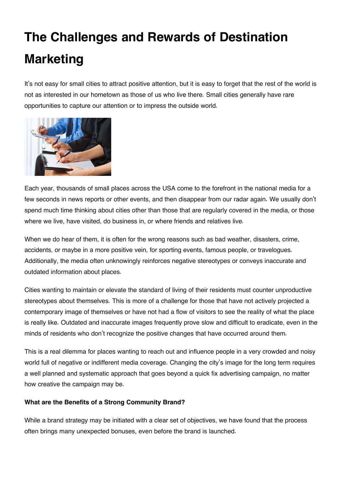## **The Challenges and Rewards of Destination Marketing**

It's not easy for small cities to attract positive attention, but it is easy to forget that the rest of the world is not as interested in our hometown as those of us who live there. Small cities generally have rare opportunities to capture our attention or to impress the outside world.



Each year, thousands of small places across the USA come to the forefront in the national media for a few seconds in news reports or other events, and then disappear from our radar again. We usually don't spend much time thinking about cities other than those that are regularly covered in the media, or those where we live, have visited, do business in, or where friends and relatives live.

When we do hear of them, it is often for the wrong reasons such as bad weather, disasters, crime, accidents, or maybe in a more positive vein, for sporting events, famous people, or travelogues. Additionally, the media often unknowingly reinforces negative stereotypes or conveys inaccurate and outdated information about places.

Cities wanting to maintain or elevate the standard of living of their residents must counter unproductive stereotypes about themselves. This is more of a challenge for those that have not actively projected a contemporary image of themselves or have not had a flow of visitors to see the reality of what the place is really like. Outdated and inaccurate images frequently prove slow and difficult to eradicate, even in the minds of residents who don't recognize the positive changes that have occurred around them.

This is a real dilemma for places wanting to reach out and influence people in a very crowded and noisy world full of negative or indifferent media coverage. Changing the city's image for the long term requires a well planned and systematic approach that goes beyond a quick fix advertising campaign, no matter how creative the campaign may be.

## **What are the Benefits of a Strong Community Brand?**

While a brand strategy may be initiated with a clear set of objectives, we have found that the process often brings many unexpected bonuses, even before the brand is launched.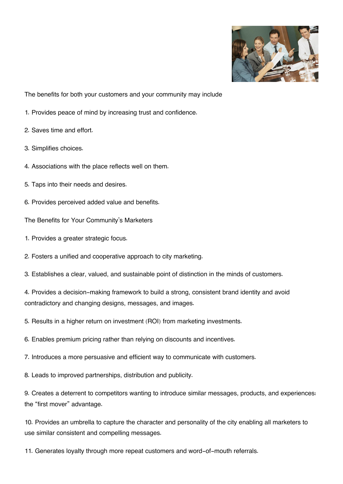

The benefits for both your customers and your community may include

- 1. Provides peace of mind by increasing trust and confidence.
- 2. Saves time and effort.
- 3. Simplifies choices.
- 4. Associations with the place reflects well on them.
- 5. Taps into their needs and desires.
- 6. Provides perceived added value and benefits.
- The Benefits for Your Community's Marketers
- 1. Provides a greater strategic focus.
- 2. Fosters a unified and cooperative approach to city marketing.
- 3. Establishes a clear, valued, and sustainable point of distinction in the minds of customers.

4. Provides a decision-making framework to build a strong, consistent brand identity and avoid contradictory and changing designs, messages, and images.

5. Results in a higher return on investment (ROI) from marketing investments.

6. Enables premium pricing rather than relying on discounts and incentives.

7. Introduces a more persuasive and efficient way to communicate with customers.

8. Leads to improved partnerships, distribution and publicity.

9. Creates a deterrent to competitors wanting to introduce similar messages, products, and experiences: the "first mover" advantage.

10. Provides an umbrella to capture the character and personality of the city enabling all marketers to use similar consistent and compelling messages.

11. Generates loyalty through more repeat customers and word-of-mouth referrals.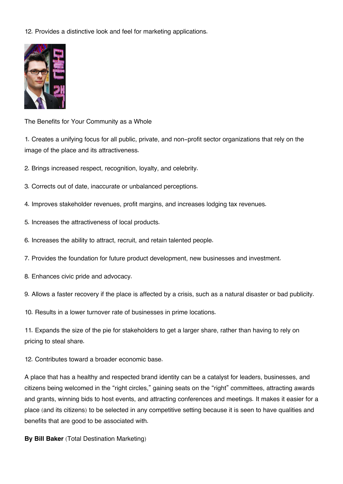12. Provides a distinctive look and feel for marketing applications.



The Benefits for Your Community as a Whole

1. Creates a unifying focus for all public, private, and non-profit sector organizations that rely on the image of the place and its attractiveness.

2. Brings increased respect, recognition, loyalty, and celebrity.

- 3. Corrects out of date, inaccurate or unbalanced perceptions.
- 4. Improves stakeholder revenues, profit margins, and increases lodging tax revenues.
- 5. Increases the attractiveness of local products.
- 6. Increases the ability to attract, recruit, and retain talented people.
- 7. Provides the foundation for future product development, new businesses and investment.
- 8. Enhances civic pride and advocacy.

9. Allows a faster recovery if the place is affected by a crisis, such as a natural disaster or bad publicity.

10. Results in a lower turnover rate of businesses in prime locations.

11. Expands the size of the pie for stakeholders to get a larger share, rather than having to rely on pricing to steal share.

12. Contributes toward a broader economic base.

A place that has a healthy and respected brand identity can be a catalyst for leaders, businesses, and citizens being welcomed in the "right circles," gaining seats on the "right" committees, attracting awards and grants, winning bids to host events, and attracting conferences and meetings. It makes it easier for a place (and its citizens) to be selected in any competitive setting because it is seen to have qualities and benefits that are good to be associated with.

**By Bill Baker** (Total Destination Marketing)